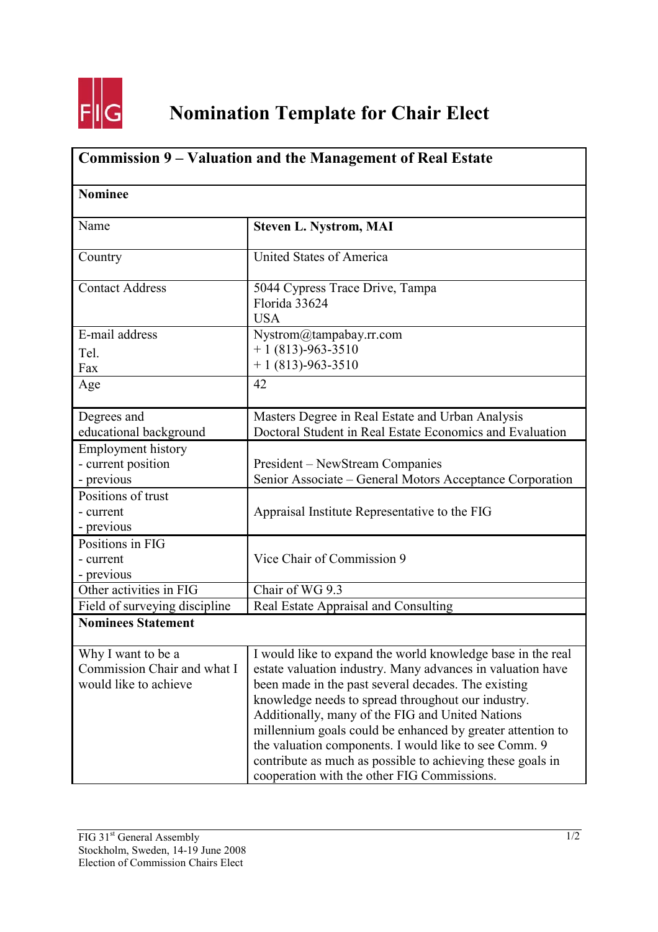

| Commission 9 – Valuation and the Management of Real Estate<br><b>Nominee</b> |                                                                                                                                                                                                                                                                                                                                                                                                                                                                                                                                |  |
|------------------------------------------------------------------------------|--------------------------------------------------------------------------------------------------------------------------------------------------------------------------------------------------------------------------------------------------------------------------------------------------------------------------------------------------------------------------------------------------------------------------------------------------------------------------------------------------------------------------------|--|
|                                                                              |                                                                                                                                                                                                                                                                                                                                                                                                                                                                                                                                |  |
| Country                                                                      | United States of America                                                                                                                                                                                                                                                                                                                                                                                                                                                                                                       |  |
| <b>Contact Address</b>                                                       | 5044 Cypress Trace Drive, Tampa<br>Florida 33624<br><b>USA</b>                                                                                                                                                                                                                                                                                                                                                                                                                                                                 |  |
| E-mail address<br>Tel.<br>Fax                                                | Nystrom@tampabay.rr.com<br>$+1(813)-963-3510$<br>$+1(813)-963-3510$                                                                                                                                                                                                                                                                                                                                                                                                                                                            |  |
| Age                                                                          | 42                                                                                                                                                                                                                                                                                                                                                                                                                                                                                                                             |  |
| Degrees and<br>educational background                                        | Masters Degree in Real Estate and Urban Analysis<br>Doctoral Student in Real Estate Economics and Evaluation                                                                                                                                                                                                                                                                                                                                                                                                                   |  |
| <b>Employment history</b><br>- current position<br>- previous                | President – NewStream Companies<br>Senior Associate – General Motors Acceptance Corporation                                                                                                                                                                                                                                                                                                                                                                                                                                    |  |
| Positions of trust<br>- current<br>- previous                                | Appraisal Institute Representative to the FIG                                                                                                                                                                                                                                                                                                                                                                                                                                                                                  |  |
| Positions in FIG<br>- current<br>- previous                                  | Vice Chair of Commission 9                                                                                                                                                                                                                                                                                                                                                                                                                                                                                                     |  |
| Other activities in FIG                                                      | Chair of WG 9.3                                                                                                                                                                                                                                                                                                                                                                                                                                                                                                                |  |
| Field of surveying discipline                                                | Real Estate Appraisal and Consulting                                                                                                                                                                                                                                                                                                                                                                                                                                                                                           |  |
| <b>Nominees Statement</b>                                                    |                                                                                                                                                                                                                                                                                                                                                                                                                                                                                                                                |  |
| Why I want to be a<br>Commission Chair and what I<br>would like to achieve   | I would like to expand the world knowledge base in the real<br>estate valuation industry. Many advances in valuation have<br>been made in the past several decades. The existing<br>knowledge needs to spread throughout our industry.<br>Additionally, many of the FIG and United Nations<br>millennium goals could be enhanced by greater attention to<br>the valuation components. I would like to see Comm. 9<br>contribute as much as possible to achieving these goals in<br>cooperation with the other FIG Commissions. |  |